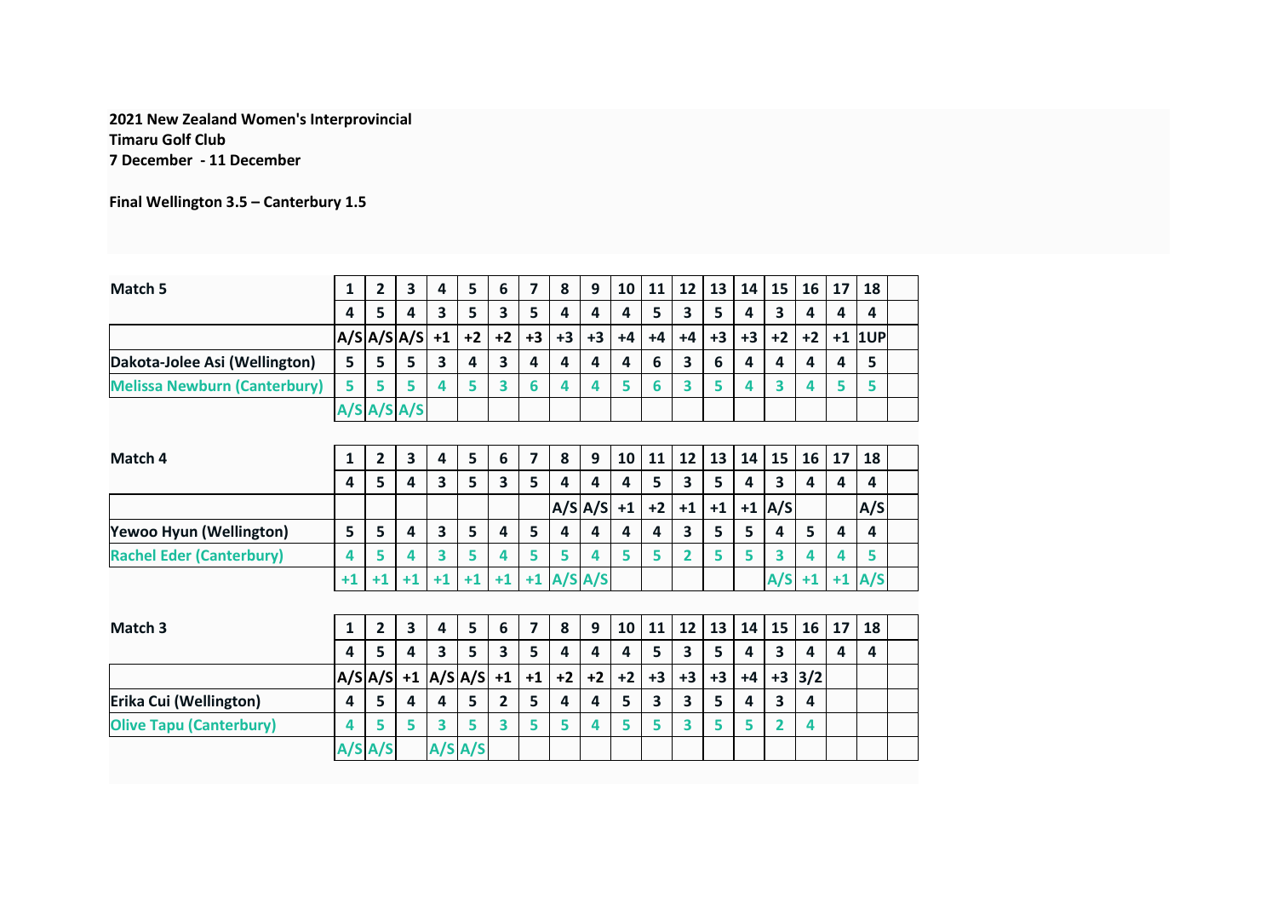## **2021 New Zealand Women's Interprovincial Timaru Golf Club 7 December - 11 December**

**Final Wellington 3.5 – Canterbury 1.5**

| Match 5                             | 1    | $\overline{2}$ | 3                 | 4                       | 5           | 6                       | 7              | 8    | 9           | 10                      | 11                      | 12                      | 13   | 14   | 15                      | 16    | 17   | 18  |  |
|-------------------------------------|------|----------------|-------------------|-------------------------|-------------|-------------------------|----------------|------|-------------|-------------------------|-------------------------|-------------------------|------|------|-------------------------|-------|------|-----|--|
|                                     | 4    | 5              | 4                 | $\overline{\mathbf{3}}$ | 5           | 3                       | 5              | 4    | 4           | 4                       | 5                       | 3                       | 5    | 4    | 3                       | 4     | 4    | 4   |  |
|                                     |      |                | A/SA/SA/S         | $+1$                    | $+2$        | $+2$                    | $+3$           | $+3$ | $+3$        | $+4$                    | $+4$                    | $+4$                    | $+3$ | $+3$ | $+2$                    | $+2$  | $+1$ | 1UP |  |
| Dakota-Jolee Asi (Wellington)       | 5    | 5              | 5                 | $\overline{\mathbf{3}}$ | 4           | $\overline{\mathbf{3}}$ | 4              | 4    | 4           | 4                       | 6                       | 3                       | 6    | 4    | 4                       | 4     | 4    | 5   |  |
| <b>Melissa Newburn (Canterbury)</b> | 5    | 5              | 5                 | 4                       | 5           | $\overline{\mathbf{3}}$ | 6              | 4    | 4           | 5                       | 6                       | 3                       | 5    | Δ    | 3                       | 4     | 5    | 5   |  |
|                                     |      |                | $A/S$ $A/S$ $A/S$ |                         |             |                         |                |      |             |                         |                         |                         |      |      |                         |       |      |     |  |
|                                     |      |                |                   |                         |             |                         |                |      |             |                         |                         |                         |      |      |                         |       |      |     |  |
| Match 4                             | 1    | $\overline{2}$ | 3                 | 4                       | 5           | 6                       | $\overline{7}$ | 8    | 9           | 10                      | 11                      | 12                      | 13   | 14   | 15                      | 16    | 17   | 18  |  |
|                                     | 4    | 5              | 4                 | $\overline{\mathbf{3}}$ | 5           | 3                       | 5              | 4    | 4           | 4                       | 5                       | $\overline{\mathbf{3}}$ | 5    | 4    | $\overline{\mathbf{3}}$ | 4     | 4    | 4   |  |
|                                     |      |                |                   |                         |             |                         |                |      | $A/S$ $A/S$ | $+1$                    | $+2$                    | $+1$                    | $+1$ |      | $+1$ A/S                |       |      | A/S |  |
| Yewoo Hyun (Wellington)             | 5    | 5              | 4                 | $\overline{\mathbf{3}}$ | 5           | 4                       | 5              | 4    | 4           | $\overline{\mathbf{A}}$ | 4                       | 3                       | 5    | 5    | $\overline{\mathbf{4}}$ | 5     | 4    | 4   |  |
| <b>Rachel Eder (Canterbury)</b>     | 4    | 5              | 4                 | 3                       | 5           | 4                       | 5              | 5    | 4           | 5                       | 5                       | $\overline{2}$          | 5    | 5    | 3                       | 4     | 4    | 5   |  |
|                                     | $+1$ | $+1$           | $+1$              | $+1$                    | $+1$        | $+1$                    | $+1$           |      | A/S A/S     |                         |                         |                         |      |      | A/S                     | $+1$  | $+1$ | A/S |  |
|                                     |      |                |                   |                         |             |                         |                |      |             |                         |                         |                         |      |      |                         |       |      |     |  |
| Match <sub>3</sub>                  | 1    | $\overline{2}$ | 3                 | 4                       | 5           | 6                       | $\overline{7}$ | 8    | 9           | 10                      | 11                      | 12                      | 13   | 14   | 15                      | 16    | 17   | 18  |  |
|                                     | 4    | 5              | 4                 | $\overline{\mathbf{3}}$ | 5           | $\overline{\mathbf{3}}$ | 5              | 4    | 4           | 4                       | 5                       | 3                       | 5    | 4    | 3                       | 4     | 4    | 4   |  |
|                                     | A/S  | A/S            | $+1$              |                         | $A/S$ $A/S$ | $+1$                    | $+1$           | $+2$ | $+2$        | $+2$                    | $+3$                    | $+3$                    | $+3$ | $+4$ | $+3$                    | $3/2$ |      |     |  |
| Erika Cui (Wellington)              | 4    | 5              | 4                 | 4                       | 5           | $\overline{2}$          | 5              | 4    | 4           | 5                       | $\overline{\mathbf{3}}$ | 3                       | 5    | 4    | 3                       | 4     |      |     |  |
| <b>Olive Tapu (Canterbury)</b>      | 4    | 5              | 5                 | 3                       | 5           | $\overline{\mathbf{3}}$ | 5              | 5    | 4           | 5                       | 5                       | 3                       | 5    | 5    | 2                       | 4     |      |     |  |
|                                     |      | A/S A/S        |                   |                         | $A/S$ $A/S$ |                         |                |      |             |                         |                         |                         |      |      |                         |       |      |     |  |
|                                     |      |                |                   |                         |             |                         |                |      |             |                         |                         |                         |      |      |                         |       |      |     |  |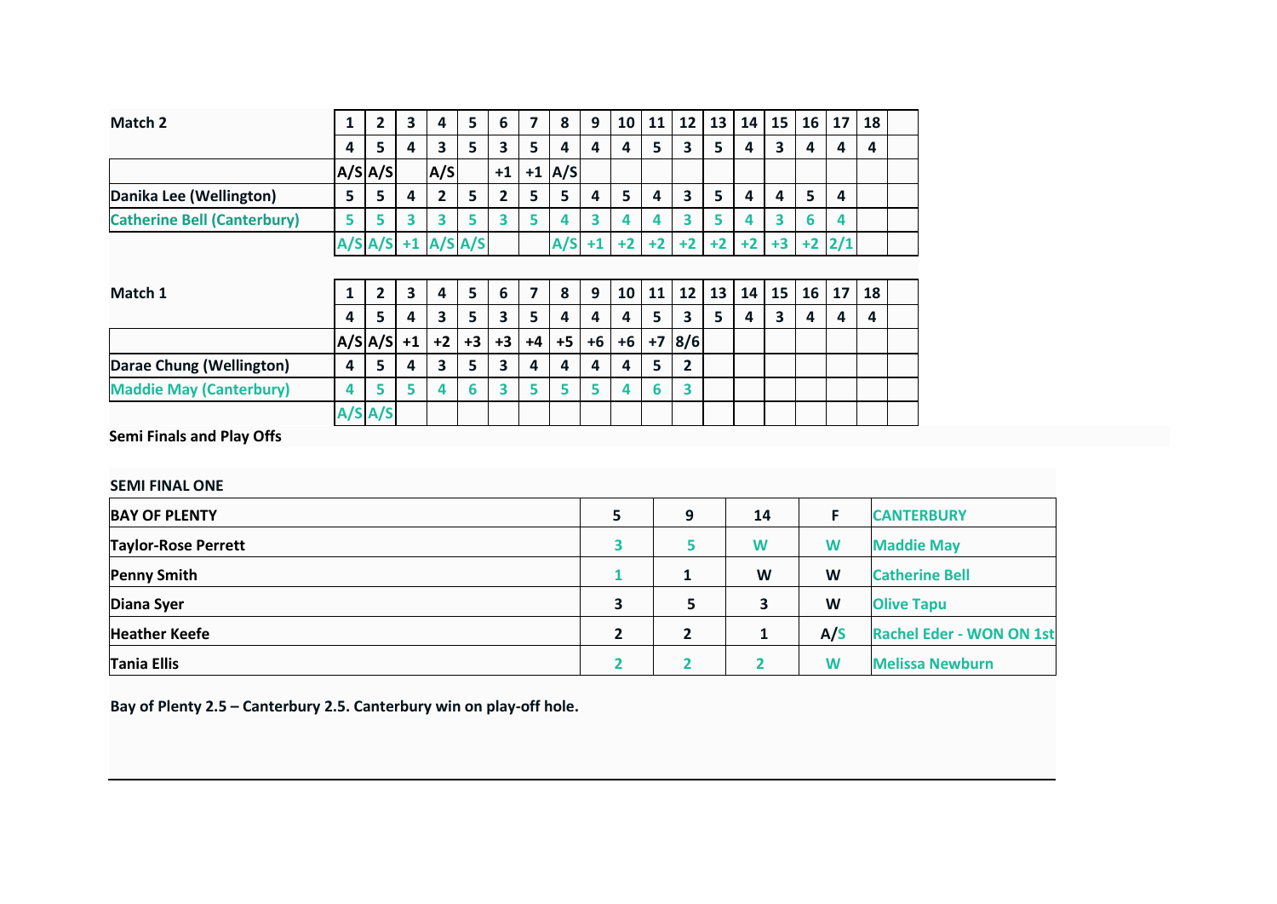| Match <sub>2</sub>                 | 1                | $\overline{2}$ | 3                       | 4                          | 5    | 6            | 7    | 8    | 9    | 10   | 11   | 12                      | 13   | 14   | 15                      | 16   | 17  | 18 |  |
|------------------------------------|------------------|----------------|-------------------------|----------------------------|------|--------------|------|------|------|------|------|-------------------------|------|------|-------------------------|------|-----|----|--|
|                                    | 4                | 5              | 4                       | 3                          | 5    | 3            | 5    | 4    | 4    | 4    | 5    | 3                       | 5    | 4    | 3                       | 4    | 4   | 4  |  |
|                                    |                  | $A/S$ $A/S$    |                         | A/S                        |      | $+1$         | $+1$ | A/S  |      |      |      |                         |      |      |                         |      |     |    |  |
| Danika Lee (Wellington)            | 5                | 5              | 4                       | $\mathbf{2}$               | 5    | $\mathbf{2}$ | 5    | 5    | 4    | 5    | 4    | $\overline{\mathbf{3}}$ | 5    | 4    | 4                       | 5    | 4   |    |  |
| <b>Catherine Bell (Canterbury)</b> | 5                | 5              | 3                       | 3                          | 5    | 3            | 5    | 4    | 3    | 4    | 4    | 3                       | 5    | 4    | 3                       | 6    | 4   |    |  |
|                                    |                  |                |                         | $A/S$ $A/S$ +1 $A/S$ $A/S$ |      |              |      | A/S  | $+1$ | $+2$ | $+2$ | $+2$                    | $+2$ | $+2$ | $+3$                    | $+2$ | 2/1 |    |  |
|                                    |                  |                |                         |                            |      |              |      |      |      |      |      |                         |      |      |                         |      |     |    |  |
| Match 1                            | 1                | $\overline{2}$ | $\overline{\mathbf{3}}$ | 4                          | 5    | 6            | 7    | 8    | 9    | 10   | 11   | 12                      | 13   | 14   | 15                      | 16   | 17  | 18 |  |
|                                    | $\boldsymbol{4}$ | 5              | 4                       | 3                          | 5    | 3            | 5    | 4    | 4    | 4    | 5    | 3                       | 5    | 4    | $\overline{\mathbf{3}}$ | 4    | 4   | 4  |  |
|                                    |                  | $A/S A/S $ +1  |                         | $+2$                       | $+3$ | $+3$         | $+4$ | $+5$ | $+6$ | $+6$ | $+7$ | 8/6                     |      |      |                         |      |     |    |  |
| Darae Chung (Wellington)           | 4                | 5              | 4                       | 3                          | 5    | 3            | 4    | 4    | 4    | 4    | 5    | $\overline{2}$          |      |      |                         |      |     |    |  |
| <b>Maddie May (Canterbury)</b>     | 4                | 5              | 5                       | 4                          | 6    | 3            | 5    | 5    | 5    | 4    | 6    | 3                       |      |      |                         |      |     |    |  |
|                                    |                  | A/S A/S        |                         |                            |      |              |      |      |      |      |      |                         |      |      |                         |      |     |    |  |

**Semi Finals and Play Offs**

| <b>SEMI FINAL ONE</b>      |   |                |    |     |                                 |
|----------------------------|---|----------------|----|-----|---------------------------------|
| <b>BAY OF PLENTY</b>       | 5 | 9              | 14 |     | <b>CANTERBURY</b>               |
| <b>Taylor-Rose Perrett</b> |   | 5              | W  | W   | <b>Maddie May</b>               |
| <b>Penny Smith</b>         |   |                | W  | W   | <b>Catherine Bell</b>           |
| Diana Syer                 | 3 | 5              | 3  | W   | <b>Olive Tapu</b>               |
| <b>Heather Keefe</b>       | 2 | $\overline{2}$ | 1  | A/S | <b>Rachel Eder - WON ON 1st</b> |
| <b>Tania Ellis</b>         |   |                |    | W   | <b>Melissa Newburn</b>          |

**Bay of Plenty 2.5 – Canterbury 2.5. Canterbury win on play-off hole.**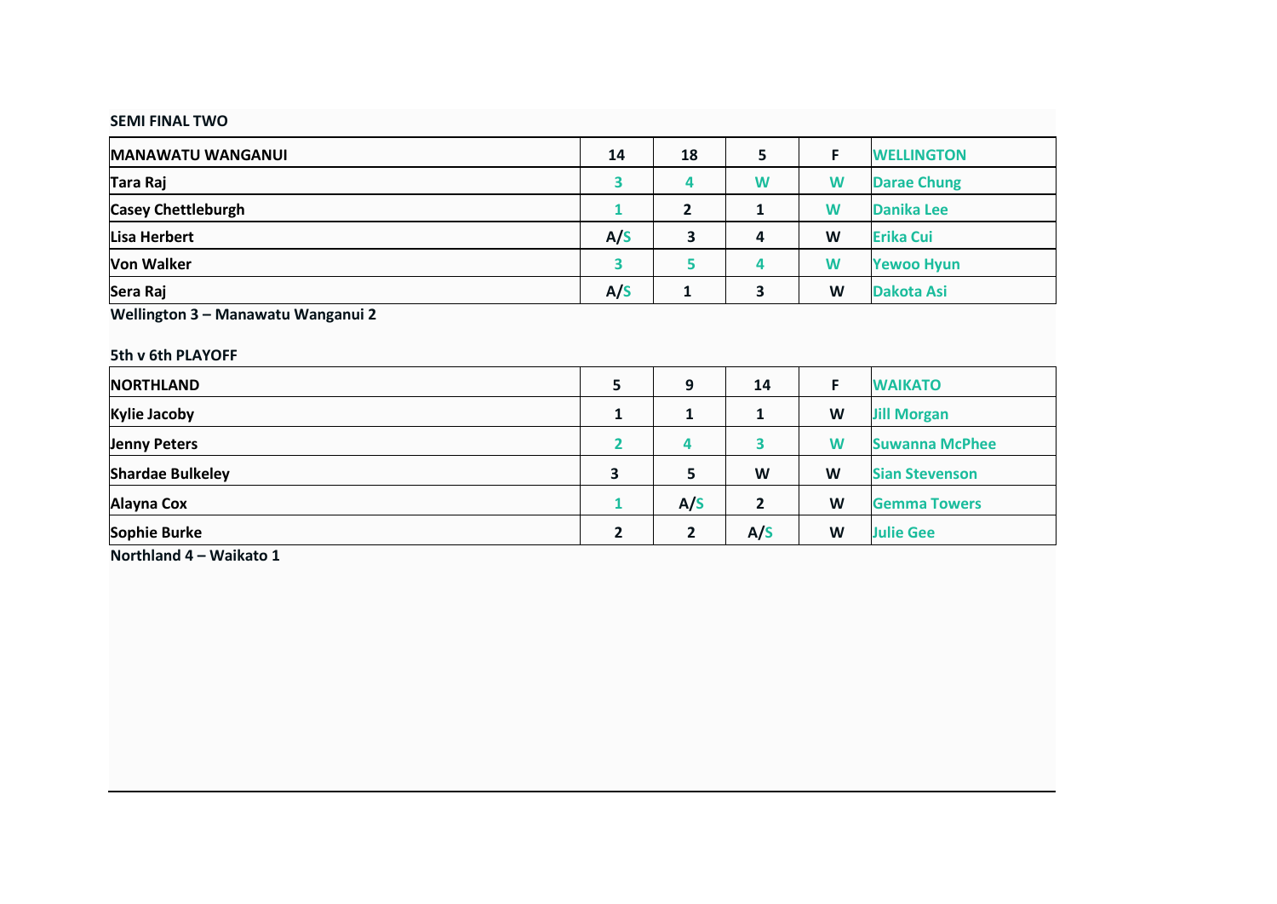|  | <b>SEMI FINAL TWO</b> |  |
|--|-----------------------|--|
|--|-----------------------|--|

| <b>MANAWATU WANGANUI</b>  | 14  | 18             | 5 | F | <b>WELLINGTON</b>  |
|---------------------------|-----|----------------|---|---|--------------------|
| Tara Raj                  | 3   | 4              | W | W | <b>Darae Chung</b> |
| <b>Casey Chettleburgh</b> |     | $\overline{2}$ | 1 | W | Danika Lee         |
| Lisa Herbert              | A/S | 3              | 4 | W | <b>Erika Cui</b>   |
| Von Walker                |     |                | 4 | W | <b>Yewoo Hyun</b>  |
| Sera Raj                  | A/S |                | 3 | W | Dakota Asi         |

| 5th v 6th PLAYOFF       |                |                |                |    |                       |
|-------------------------|----------------|----------------|----------------|----|-----------------------|
| <b>NORTHLAND</b>        | 5              | 9              | 14             | F. | <b>WAIKATO</b>        |
| <b>Kylie Jacoby</b>     | 1              |                | 1              | W  | <b>Jill Morgan</b>    |
| <b>Jenny Peters</b>     |                | 4              | 3              | W  | <b>Suwanna McPhee</b> |
| <b>Shardae Bulkeley</b> | 3              | 5              | W              | W  | <b>Sian Stevenson</b> |
| Alayna Cox              |                | A/S            | $\overline{2}$ | W  | <b>Gemma Towers</b>   |
| Sophie Burke            | $\overline{2}$ | $\overline{2}$ | A/S            | W  | <b>Julie Gee</b>      |

**Northland 4 – Waikato 1**